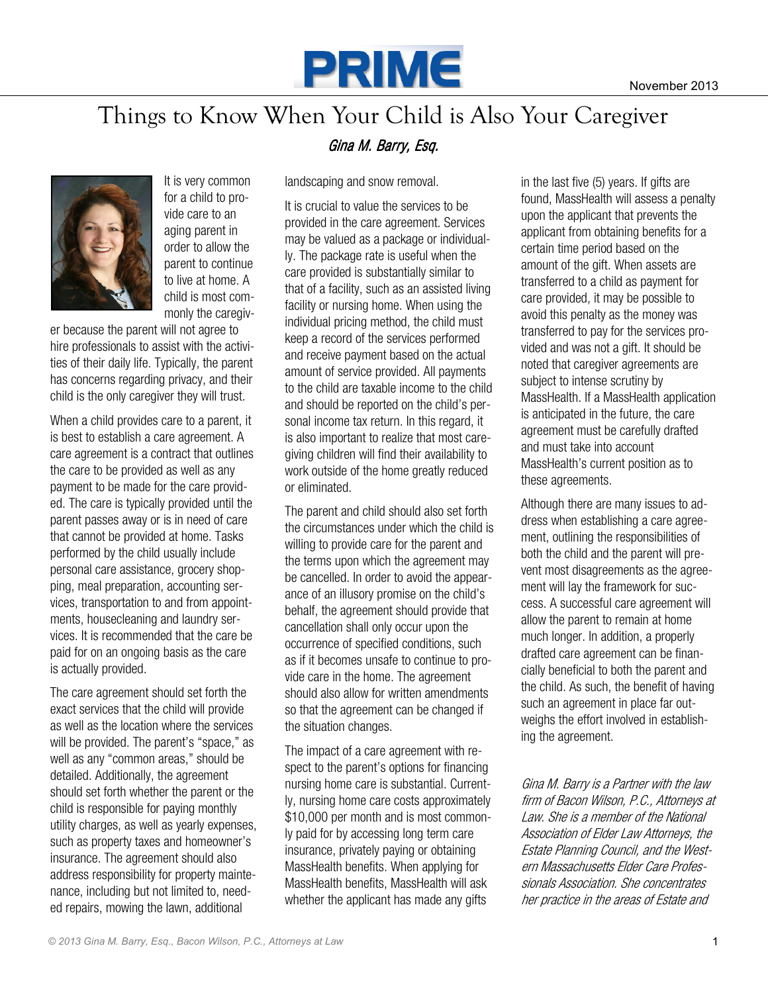

## Things to Know When Your Child is Also Your Caregiver



It is very common for a child to provide care to an aging parent in order to allow the parent to continue to live at home. A child is most commonly the caregiv-

er because the parent will not agree to hire professionals to assist with the activities of their daily life. Typically, the parent has concerns regarding privacy, and their child is the only caregiver they will trust.

When a child provides care to a parent, it is best to establish a care agreement. A care agreement is a contract that outlines the care to be provided as well as any payment to be made for the care provided. The care is typically provided until the parent passes away or is in need of care that cannot be provided at home. Tasks performed by the child usually include personal care assistance, grocery shopping, meal preparation, accounting services, transportation to and from appointments, housecleaning and laundry services. It is recommended that the care be paid for on an ongoing basis as the care is actually provided.

The care agreement should set forth the exact services that the child will provide as well as the location where the services will be provided. The parent's "space," as well as any "common areas," should be detailed. Additionally, the agreement should set forth whether the parent or the child is responsible for paying monthly utility charges, as well as yearly expenses, such as property taxes and homeowner's insurance. The agreement should also address responsibility for property maintenance, including but not limited to, needed repairs, mowing the lawn, additional

## Gina M. Barry, Esa.

landscaping and snow removal.

It is crucial to value the services to be provided in the care agreement. Services may be valued as a package or individually. The package rate is useful when the care provided is substantially similar to that of a facility, such as an assisted living facility or nursing home. When using the individual pricing method, the child must keep a record of the services performed and receive payment based on the actual amount of service provided. All payments to the child are taxable income to the child and should be reported on the child's personal income tax return. In this regard, it is also important to realize that most caregiving children will find their availability to work outside of the home greatly reduced or eliminated.

The parent and child should also set forth the circumstances under which the child is willing to provide care for the parent and the terms upon which the agreement may be cancelled. In order to avoid the appearance of an illusory promise on the child's behalf, the agreement should provide that cancellation shall only occur upon the occurrence of specified conditions, such as if it becomes unsafe to continue to provide care in the home. The agreement should also allow for written amendments so that the agreement can be changed if the situation changes.

The impact of a care agreement with respect to the parent's options for financing nursing home care is substantial. Currently, nursing home care costs approximately \$10,000 per month and is most commonly paid for by accessing long term care insurance, privately paying or obtaining MassHealth benefits. When applying for MassHealth benefits, MassHealth will ask whether the applicant has made any gifts

in the last five (5) years. If gifts are found, MassHealth will assess a penalty upon the applicant that prevents the applicant from obtaining benefits for a certain time period based on the amount of the gift. When assets are transferred to a child as payment for care provided, it may be possible to avoid this penalty as the money was transferred to pay for the services provided and was not a gift. It should be noted that caregiver agreements are subject to intense scrutiny by MassHealth. If a MassHealth application is anticipated in the future, the care agreement must be carefully drafted and must take into account MassHealth's current position as to these agreements.

Although there are many issues to address when establishing a care agreement, outlining the responsibilities of both the child and the parent will prevent most disagreements as the agreement will lay the framework for success. A successful care agreement will allow the parent to remain at home much longer. In addition, a properly drafted care agreement can be financially beneficial to both the parent and the child. As such, the benefit of having such an agreement in place far outweighs the effort involved in establishing the agreement.

Gina M. Barry is a Partner with the law firm of Bacon Wilson, P.C., Attorneys at Law. She is a member of the National Association of Elder Law Attorneys, the Estate Planning Council, and the Western Massachusetts Elder Care Professionals Association. She concentrates her practice in the areas of Estate and